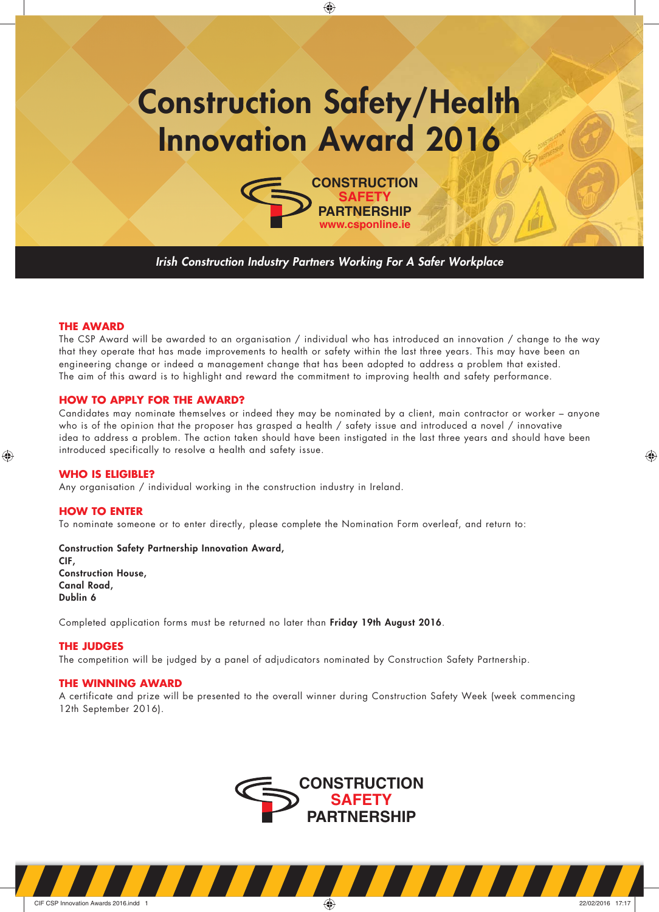# **Construction Safety/Health Innovation Award 2016**

◈



*Irish Construction Industry Partners Working For A Safer Workplace*

#### **THE AWARD**

The CSP Award will be awarded to an organisation / individual who has introduced an innovation / change to the way that they operate that has made improvements to health or safety within the last three years. This may have been an engineering change or indeed a management change that has been adopted to address a problem that existed. The aim of this award is to highlight and reward the commitment to improving health and safety performance.

## **HOW TO APPLY FOR THE AWARD?**

Candidates may nominate themselves or indeed they may be nominated by a client, main contractor or worker – anyone who is of the opinion that the proposer has grasped a health / safety issue and introduced a novel / innovative idea to address a problem. The action taken should have been instigated in the last three years and should have been introduced specifically to resolve a health and safety issue.

◈

## **WHO IS ELIGIBLE?**

◈

Any organisation / individual working in the construction industry in Ireland.

#### **HOW TO ENTER**

To nominate someone or to enter directly, please complete the Nomination Form overleaf, and return to:

**Construction Safety Partnership Innovation Award, CIF, Construction House, Canal Road, Dublin 6**

Completed application forms must be returned no later than **Friday 19th August 2016**.

# **THE JUDGES**

The competition will be judged by a panel of adjudicators nominated by Construction Safety Partnership.

### **THE WINNING AWARD**

A certificate and prize will be presented to the overall winner during Construction Safety Week (week commencing 12th September 2016).